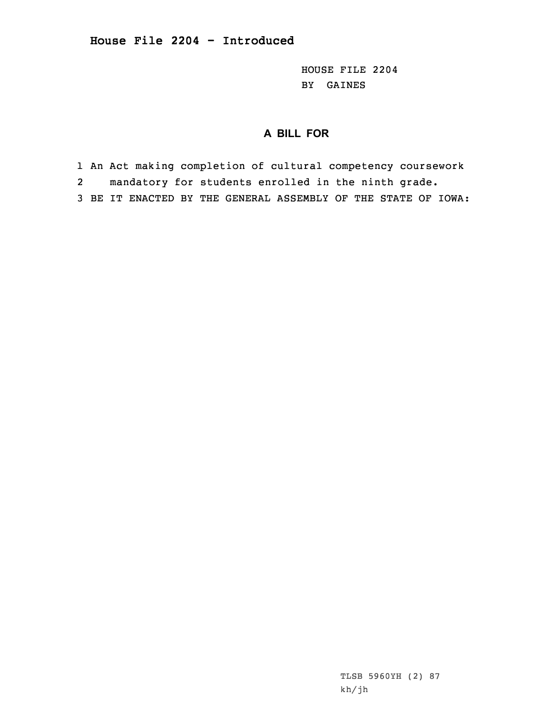HOUSE FILE 2204 BY GAINES

## **A BILL FOR**

1 An Act making completion of cultural competency coursework

2mandatory for students enrolled in the ninth grade.

3 BE IT ENACTED BY THE GENERAL ASSEMBLY OF THE STATE OF IOWA:

TLSB 5960YH (2) 87 kh/jh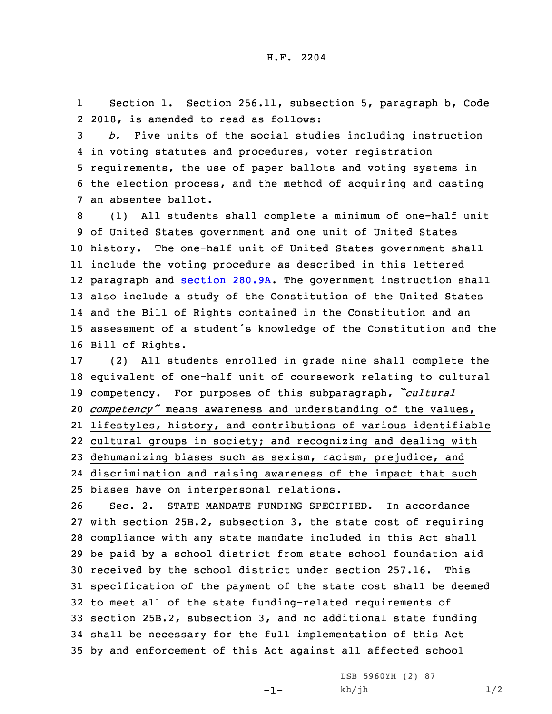1 Section 1. Section 256.11, subsection 5, paragraph b, Code 2 2018, is amended to read as follows:

 *b.* Five units of the social studies including instruction in voting statutes and procedures, voter registration requirements, the use of paper ballots and voting systems in the election process, and the method of acquiring and casting an absentee ballot.

 (1) All students shall complete <sup>a</sup> minimum of one-half unit of United States government and one unit of United States history. The one-half unit of United States government shall include the voting procedure as described in this lettered paragraph and [section](https://www.legis.iowa.gov/docs/code/2018/280.9A.pdf) 280.9A. The government instruction shall also include <sup>a</sup> study of the Constitution of the United States and the Bill of Rights contained in the Constitution and an assessment of <sup>a</sup> student's knowledge of the Constitution and the Bill of Rights.

 (2) All students enrolled in grade nine shall complete the equivalent of one-half unit of coursework relating to cultural competency. For purposes of this subparagraph, *"cultural competency"* means awareness and understanding of the values, lifestyles, history, and contributions of various identifiable cultural groups in society; and recognizing and dealing with dehumanizing biases such as sexism, racism, prejudice, and discrimination and raising awareness of the impact that such biases have on interpersonal relations.

 Sec. 2. STATE MANDATE FUNDING SPECIFIED. In accordance with section 25B.2, subsection 3, the state cost of requiring compliance with any state mandate included in this Act shall be paid by <sup>a</sup> school district from state school foundation aid received by the school district under section 257.16. This specification of the payment of the state cost shall be deemed to meet all of the state funding-related requirements of section 25B.2, subsection 3, and no additional state funding shall be necessary for the full implementation of this Act by and enforcement of this Act against all affected school

-1-

LSB 5960YH (2) 87  $kh/jh$   $1/2$